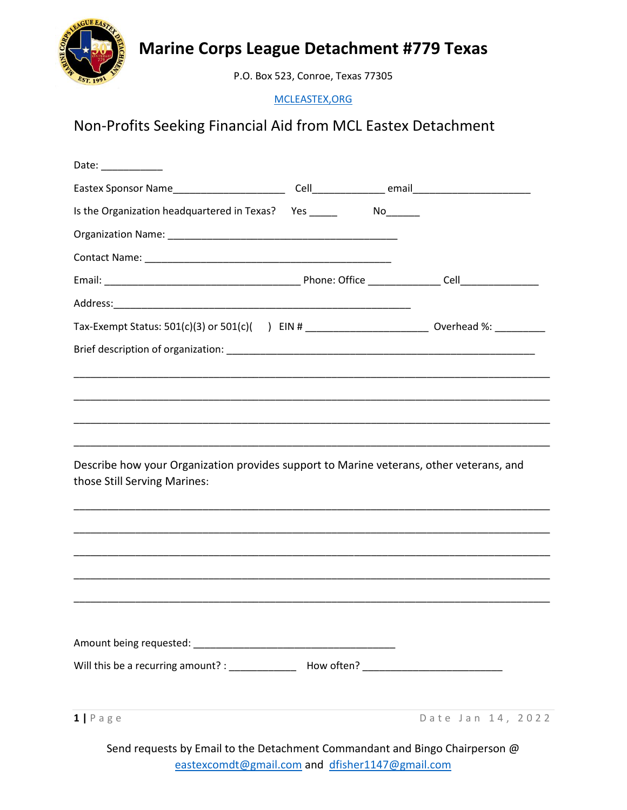

## **Marine Corps League Detachment #779 Texas**

P.O. Box 523, Conroe, Texas 77305

[MCLEASTEX,ORG](http://mcleastex.org/)

## Non-Profits Seeking Financial Aid from MCL Eastex Detachment

| Date: $\qquad \qquad$                                                                                                   |    |                   |
|-------------------------------------------------------------------------------------------------------------------------|----|-------------------|
|                                                                                                                         |    |                   |
| Is the Organization headquartered in Texas? Yes ______                                                                  | No |                   |
|                                                                                                                         |    |                   |
|                                                                                                                         |    |                   |
|                                                                                                                         |    |                   |
|                                                                                                                         |    |                   |
| Tax-Exempt Status: 501(c)(3) or 501(c)( ) EIN # ________________________________ Overhead %: ____________               |    |                   |
|                                                                                                                         |    |                   |
|                                                                                                                         |    |                   |
|                                                                                                                         |    |                   |
| Describe how your Organization provides support to Marine veterans, other veterans, and<br>those Still Serving Marines: |    |                   |
|                                                                                                                         |    |                   |
|                                                                                                                         |    |                   |
|                                                                                                                         |    |                   |
|                                                                                                                         |    |                   |
| $1   P \text{age}$                                                                                                      |    | Date Jan 14, 2022 |
|                                                                                                                         |    |                   |

Send requests by Email to the Detachment Commandant and Bingo Chairperson @ [eastexcomdt@gmail.com](mailto:eastexcomdt@gmail.com) and [dfisher1147@gmail.com](mailto:dfisher1147@gmail.com)